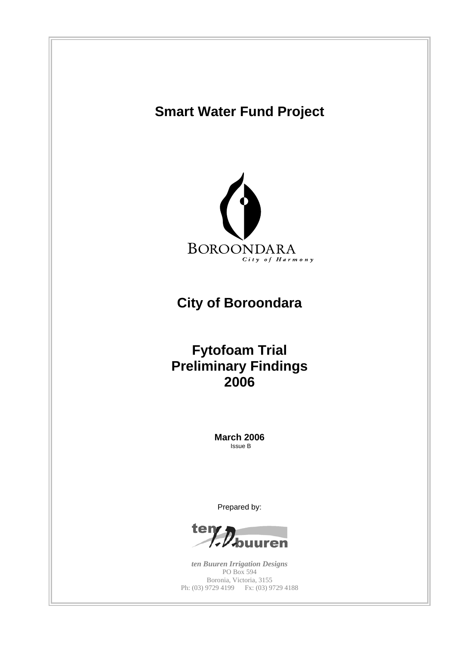# **Smart Water Fund Project**



# **City of Boroondara**

## **Fytofoam Trial Preliminary Findings 2006**

**March 2006** Issue B

Prepared by:



*ten Buuren Irrigation Designs* PO Box 594 Boronia, Victoria, 3155 Ph: (03) 9729 4199 Fx: (03) 9729 4188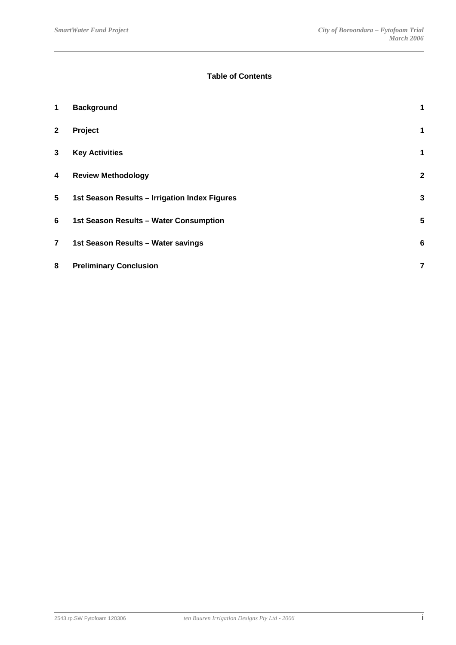## **Table of Contents**

| 1              | <b>Background</b>                             | 1               |
|----------------|-----------------------------------------------|-----------------|
| $\mathbf{2}$   | Project                                       | 1               |
| 3              | <b>Key Activities</b>                         | 1               |
| 4              | <b>Review Methodology</b>                     | $\overline{2}$  |
| 5              | 1st Season Results - Irrigation Index Figures | 3               |
| 6              | 1st Season Results - Water Consumption        | 5               |
| $\overline{7}$ | 1st Season Results - Water savings            | $6\phantom{1}6$ |
| 8              | <b>Preliminary Conclusion</b>                 | 7               |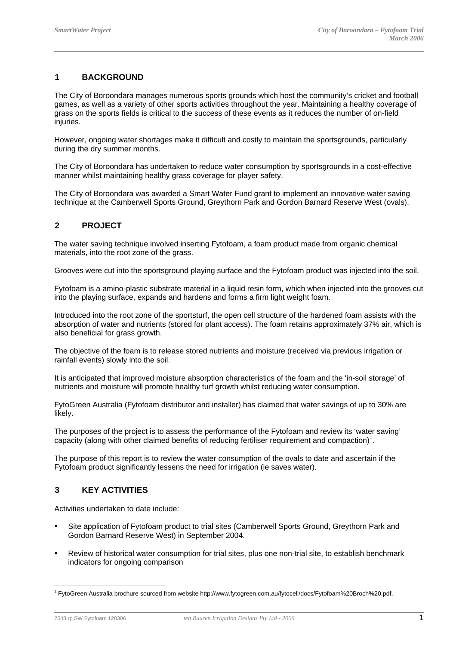## **1 BACKGROUND**

The City of Boroondara manages numerous sports grounds which host the community's cricket and football games, as well as a variety of other sports activities throughout the year. Maintaining a healthy coverage of grass on the sports fields is critical to the success of these events as it reduces the number of on-field injuries.

However, ongoing water shortages make it difficult and costly to maintain the sportsgrounds, particularly during the dry summer months.

The City of Boroondara has undertaken to reduce water consumption by sportsgrounds in a cost-effective manner whilst maintaining healthy grass coverage for player safety.

The City of Boroondara was awarded a Smart Water Fund grant to implement an innovative water saving technique at the Camberwell Sports Ground, Greythorn Park and Gordon Barnard Reserve West (ovals).

## **2 PROJECT**

The water saving technique involved inserting Fytofoam, a foam product made from organic chemical materials, into the root zone of the grass.

Grooves were cut into the sportsground playing surface and the Fytofoam product was injected into the soil.

Fytofoam is a amino-plastic substrate material in a liquid resin form, which when injected into the grooves cut into the playing surface, expands and hardens and forms a firm light weight foam.

Introduced into the root zone of the sportsturf, the open cell structure of the hardened foam assists with the absorption of water and nutrients (stored for plant access). The foam retains approximately 37% air, which is also beneficial for grass growth.

The objective of the foam is to release stored nutrients and moisture (received via previous irrigation or rainfall events) slowly into the soil.

It is anticipated that improved moisture absorption characteristics of the foam and the 'in-soil storage' of nutrients and moisture will promote healthy turf growth whilst reducing water consumption.

FytoGreen Australia (Fytofoam distributor and installer) has claimed that water savings of up to 30% are likely.

The purposes of the project is to assess the performance of the Fytofoam and review its 'water saving' capacity (along with other claimed benefits of reducing fertiliser requirement and compaction)<sup>1</sup>.

The purpose of this report is to review the water consumption of the ovals to date and ascertain if the Fytofoam product significantly lessens the need for irrigation (ie saves water).

## **3 KEY ACTIVITIES**

Activities undertaken to date include:

- Site application of Fytofoam product to trial sites (Camberwell Sports Ground, Greythorn Park and Gordon Barnard Reserve West) in September 2004.
- Review of historical water consumption for trial sites, plus one non-trial site, to establish benchmark indicators for ongoing comparison

 $\overline{a}$ 

l

<sup>1</sup> FytoGreen Australia brochure sourced from website http://www.fytogreen.com.au/fytocell/docs/Fytofoam%20Broch%20.pdf.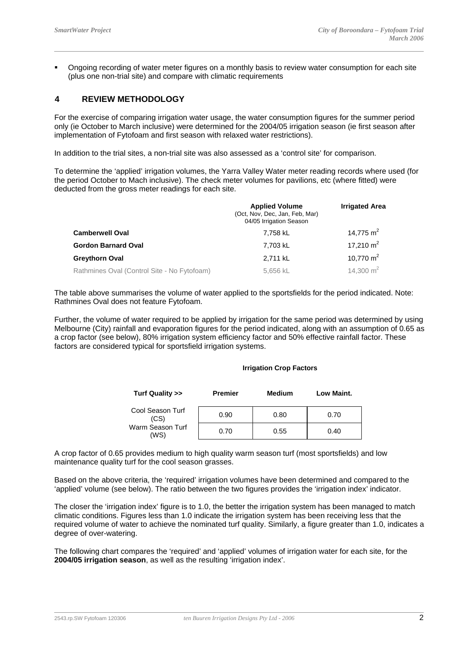Ongoing recording of water meter figures on a monthly basis to review water consumption for each site (plus one non-trial site) and compare with climatic requirements

## **4 REVIEW METHODOLOGY**

For the exercise of comparing irrigation water usage, the water consumption figures for the summer period only (ie October to March inclusive) were determined for the 2004/05 irrigation season (ie first season after implementation of Fytofoam and first season with relaxed water restrictions).

In addition to the trial sites, a non-trial site was also assessed as a 'control site' for comparison.

To determine the 'applied' irrigation volumes, the Yarra Valley Water meter reading records where used (for the period October to Mach inclusive). The check meter volumes for pavilions, etc (where fitted) were deducted from the gross meter readings for each site.

|                                             | <b>Applied Volume</b><br>(Oct, Nov, Dec, Jan, Feb, Mar)<br>04/05 Irrigation Season | <b>Irrigated Area</b> |
|---------------------------------------------|------------------------------------------------------------------------------------|-----------------------|
| <b>Camberwell Oval</b>                      | 7,758 kL                                                                           | 14,775 m <sup>2</sup> |
| <b>Gordon Barnard Oval</b>                  | 7,703 kL                                                                           | 17,210 $m2$           |
| Greythorn Oval                              | 2,711 kL                                                                           | 10,770 $m2$           |
| Rathmines Oval (Control Site - No Fytofoam) | 5,656 kL                                                                           | 14,300 $m2$           |

The table above summarises the volume of water applied to the sportsfields for the period indicated. Note: Rathmines Oval does not feature Fytofoam.

Further, the volume of water required to be applied by irrigation for the same period was determined by using Melbourne (City) rainfall and evaporation figures for the period indicated, along with an assumption of 0.65 as a crop factor (see below), 80% irrigation system efficiency factor and 50% effective rainfall factor. These factors are considered typical for sportsfield irrigation systems.

#### **Irrigation Crop Factors**

| Turf Quality >>          | <b>Premier</b> | <b>Medium</b> | Low Maint. |
|--------------------------|----------------|---------------|------------|
| Cool Season Turf<br>(CS) | 0.90           | 0.80          | 0.70       |
| Warm Season Turf<br>(WS) | 0.70           | 0.55          | 0.40       |

A crop factor of 0.65 provides medium to high quality warm season turf (most sportsfields) and low maintenance quality turf for the cool season grasses.

Based on the above criteria, the 'required' irrigation volumes have been determined and compared to the 'applied' volume (see below). The ratio between the two figures provides the 'irrigation index' indicator.

The closer the 'irrigation index' figure is to 1.0, the better the irrigation system has been managed to match climatic conditions. Figures less than 1.0 indicate the irrigation system has been receiving less that the required volume of water to achieve the nominated turf quality. Similarly, a figure greater than 1.0, indicates a degree of over-watering.

The following chart compares the 'required' and 'applied' volumes of irrigation water for each site, for the **2004/05 irrigation season**, as well as the resulting 'irrigation index'.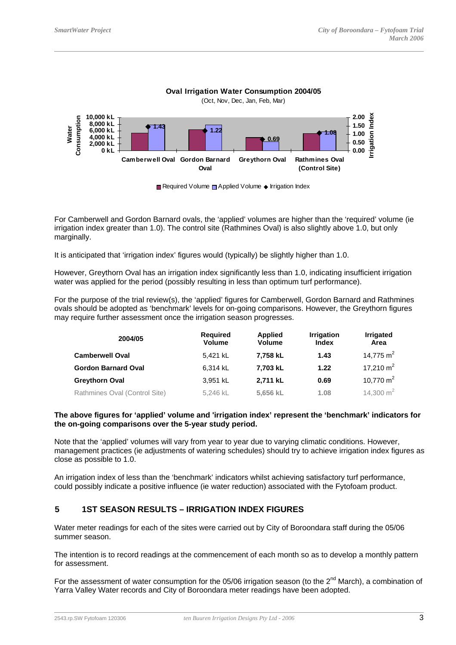

**Oval Irrigation Water Consumption 2004/05**

For Camberwell and Gordon Barnard ovals, the 'applied' volumes are higher than the 'required' volume (ie irrigation index greater than 1.0). The control site (Rathmines Oval) is also slightly above 1.0, but only marginally.

It is anticipated that 'irrigation index' figures would (typically) be slightly higher than 1.0.

However, Greythorn Oval has an irrigation index significantly less than 1.0, indicating insufficient irrigation water was applied for the period (possibly resulting in less than optimum turf performance).

For the purpose of the trial review(s), the 'applied' figures for Camberwell, Gordon Barnard and Rathmines ovals should be adopted as 'benchmark' levels for on-going comparisons. However, the Greythorn figures may require further assessment once the irrigation season progresses.

| 2004/05                       | <b>Required</b><br><b>Volume</b> | <b>Applied</b><br><b>Volume</b> | <b>Irrigation</b><br>Index | <b>Irrigated</b><br>Area |
|-------------------------------|----------------------------------|---------------------------------|----------------------------|--------------------------|
| <b>Camberwell Oval</b>        | 5,421 kL                         | 7,758 kL                        | 1.43                       | 14,775 m <sup>2</sup>    |
| <b>Gordon Barnard Oval</b>    | 6,314 kL                         | 7,703 kL                        | 1.22                       | 17,210 $m2$              |
| <b>Greythorn Oval</b>         | 3,951 kL                         | 2,711 kL                        | 0.69                       | 10,770 $m2$              |
| Rathmines Oval (Control Site) | 5,246 kL                         | 5,656 kL                        | 1.08                       | 14,300 $m2$              |

### **The above figures for 'applied' volume and 'irrigation index' represent the 'benchmark' indicators for the on-going comparisons over the 5-year study period.**

Note that the 'applied' volumes will vary from year to year due to varying climatic conditions. However, management practices (ie adjustments of watering schedules) should try to achieve irrigation index figures as close as possible to 1.0.

An irrigation index of less than the 'benchmark' indicators whilst achieving satisfactory turf performance, could possibly indicate a positive influence (ie water reduction) associated with the Fytofoam product.

## **5 1ST SEASON RESULTS – IRRIGATION INDEX FIGURES**

Water meter readings for each of the sites were carried out by City of Boroondara staff during the 05/06 summer season.

The intention is to record readings at the commencement of each month so as to develop a monthly pattern for assessment.

For the assessment of water consumption for the 05/06 irrigation season (to the 2<sup>nd</sup> March), a combination of Yarra Valley Water records and City of Boroondara meter readings have been adopted.

Required Volume  $\Box$  Applied Volume  $\blacklozenge$  Irrigation Index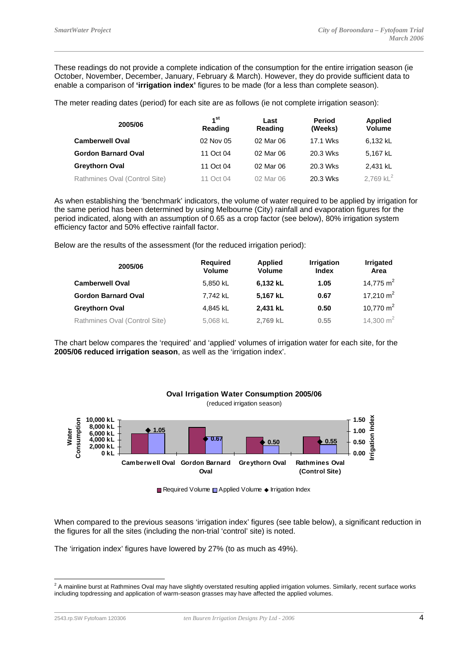These readings do not provide a complete indication of the consumption for the entire irrigation season (ie October, November, December, January, February & March). However, they do provide sufficient data to enable a comparison of **'irrigation index'** figures to be made (for a less than complete season).

The meter reading dates (period) for each site are as follows (ie not complete irrigation season):

| 2005/06                       | 1 <sup>st</sup><br>Reading | Last<br>Reading | <b>Period</b><br>(Weeks) | <b>Applied</b><br><b>Volume</b> |
|-------------------------------|----------------------------|-----------------|--------------------------|---------------------------------|
| <b>Camberwell Oval</b>        | 02 Nov 05                  | 02 Mar 06       | 17.1 Wks                 | 6,132 kL                        |
| <b>Gordon Barnard Oval</b>    | 11 Oct 04                  | 02 Mar 06       | 20.3 Wks                 | 5,167 kL                        |
| <b>Greythorn Oval</b>         | 11 Oct 04                  | 02 Mar 06       | 20.3 Wks                 | 2.431 kL                        |
| Rathmines Oval (Control Site) | 11 Oct 04                  | 02 Mar 06       | 20.3 Wks                 | 2,769 $kL^2$                    |

As when establishing the 'benchmark' indicators, the volume of water required to be applied by irrigation for the same period has been determined by using Melbourne (City) rainfall and evaporation figures for the period indicated, along with an assumption of 0.65 as a crop factor (see below), 80% irrigation system efficiency factor and 50% effective rainfall factor.

Below are the results of the assessment (for the reduced irrigation period):

| 2005/06                       | <b>Required</b><br><b>Volume</b> | <b>Applied</b><br><b>Volume</b> | <b>Irrigation</b><br><b>Index</b> | <b>Irrigated</b><br>Area |
|-------------------------------|----------------------------------|---------------------------------|-----------------------------------|--------------------------|
| <b>Camberwell Oval</b>        | 5,850 kL                         | 6,132 kL                        | 1.05                              | 14,775 m <sup>2</sup>    |
| <b>Gordon Barnard Oval</b>    | 7,742 kL                         | 5,167 kL                        | 0.67                              | 17,210 $m2$              |
| <b>Greythorn Oval</b>         | 4,845 kL                         | 2,431 kL                        | 0.50                              | 10,770 $m2$              |
| Rathmines Oval (Control Site) | 5,068 kL                         | 2,769 kL                        | 0.55                              | 14,300 $m2$              |

The chart below compares the 'required' and 'applied' volumes of irrigation water for each site, for the **2005/06 reduced irrigation season**, as well as the 'irrigation index'.



**Required Volume** Applied Volume ♦ Irrigation Index

When compared to the previous seasons 'irrigation index' figures (see table below), a significant reduction in the figures for all the sites (including the non-trial 'control' site) is noted.

The 'irrigation index' figures have lowered by 27% (to as much as 49%).

 $^2$  A mainline burst at Rathmines Oval may have slightly overstated resulting applied irrigation volumes. Similarly, recent surface works including topdressing and application of warm-season grasses may have affected the applied volumes.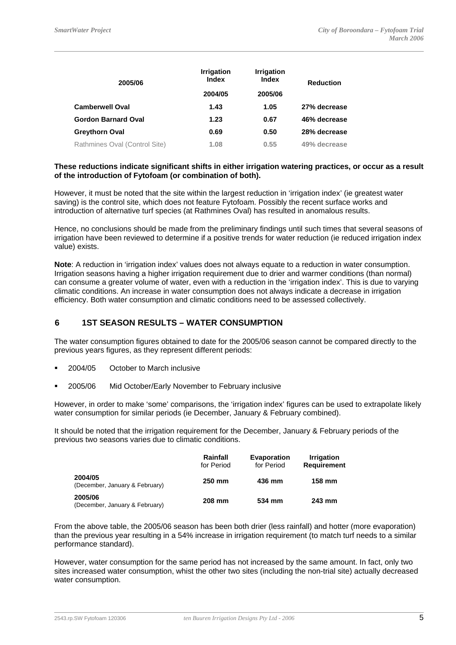| 2005/06                       | <b>Irrigation</b><br><b>Index</b> | <b>Irrigation</b><br><b>Index</b> | <b>Reduction</b> |
|-------------------------------|-----------------------------------|-----------------------------------|------------------|
|                               | 2004/05                           | 2005/06                           |                  |
| <b>Camberwell Oval</b>        | 1.43                              | 1.05                              | 27% decrease     |
| <b>Gordon Barnard Oval</b>    | 1.23                              | 0.67                              | 46% decrease     |
| <b>Greythorn Oval</b>         | 0.69                              | 0.50                              | 28% decrease     |
| Rathmines Oval (Control Site) | 1.08                              | 0.55                              | 49% decrease     |

### **These reductions indicate significant shifts in either irrigation watering practices, or occur as a result of the introduction of Fytofoam (or combination of both).**

However, it must be noted that the site within the largest reduction in 'irrigation index' (ie greatest water saving) is the control site, which does not feature Fytofoam. Possibly the recent surface works and introduction of alternative turf species (at Rathmines Oval) has resulted in anomalous results.

Hence, no conclusions should be made from the preliminary findings until such times that several seasons of irrigation have been reviewed to determine if a positive trends for water reduction (ie reduced irrigation index value) exists.

**Note**: A reduction in 'irrigation index' values does not always equate to a reduction in water consumption. Irrigation seasons having a higher irrigation requirement due to drier and warmer conditions (than normal) can consume a greater volume of water, even with a reduction in the 'irrigation index'. This is due to varying climatic conditions. An increase in water consumption does not always indicate a decrease in irrigation efficiency. Both water consumption and climatic conditions need to be assessed collectively.

## **6 1ST SEASON RESULTS – WATER CONSUMPTION**

The water consumption figures obtained to date for the 2005/06 season cannot be compared directly to the previous years figures, as they represent different periods:

- 2004/05 October to March inclusive
- 2005/06 Mid October/Early November to February inclusive

However, in order to make 'some' comparisons, the 'irrigation index' figures can be used to extrapolate likely water consumption for similar periods (ie December, January & February combined).

It should be noted that the irrigation requirement for the December, January & February periods of the previous two seasons varies due to climatic conditions.

|                                           | Rainfall<br>for Period | <b>Evaporation</b><br>for Period | <b>Irrigation</b><br><b>Requirement</b> |
|-------------------------------------------|------------------------|----------------------------------|-----------------------------------------|
| 2004/05<br>(December, January & February) | 250 mm                 | 436 mm                           | 158 mm                                  |
| 2005/06<br>(December, January & February) | 208 mm                 | 534 mm                           | 243 mm                                  |

From the above table, the 2005/06 season has been both drier (less rainfall) and hotter (more evaporation) than the previous year resulting in a 54% increase in irrigation requirement (to match turf needs to a similar performance standard).

However, water consumption for the same period has not increased by the same amount. In fact, only two sites increased water consumption, whist the other two sites (including the non-trial site) actually decreased water consumption.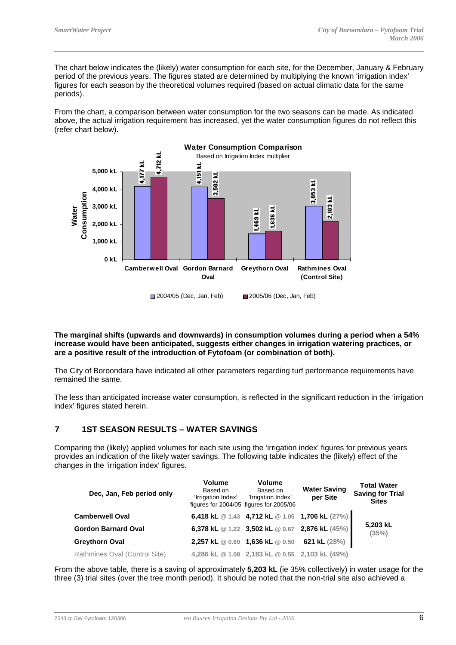The chart below indicates the (likely) water consumption for each site, for the December, January & February period of the previous years. The figures stated are determined by multiplying the known 'irrigation index' figures for each season by the theoretical volumes required (based on actual climatic data for the same periods).

From the chart, a comparison between water consumption for the two seasons can be made. As indicated above, the actual irrigation requirement has increased, yet the water consumption figures do not reflect this (refer chart below).



**The marginal shifts (upwards and downwards) in consumption volumes during a period when a 54% increase would have been anticipated, suggests either changes in irrigation watering practices, or are a positive result of the introduction of Fytofoam (or combination of both).**

The City of Boroondara have indicated all other parameters regarding turf performance requirements have remained the same.

The less than anticipated increase water consumption, is reflected in the significant reduction in the 'irrigation index' figures stated herein.

## **7 1ST SEASON RESULTS – WATER SAVINGS**

Comparing the (likely) applied volumes for each site using the 'irrigation index' figures for previous years provides an indication of the likely water savings. The following table indicates the (likely) effect of the changes in the 'irrigation index' figures.

| Dec, Jan, Feb period only     | <b>Volume</b><br>Based on<br>'Irrigation Index' | <b>Volume</b><br>Based on<br>'Irrigation Index'<br>figures for 2004/05 figures for 2005/06 | <b>Water Saving</b><br>per Site | <b>Total Water</b><br><b>Saving for Trial</b><br><b>Sites</b> |
|-------------------------------|-------------------------------------------------|--------------------------------------------------------------------------------------------|---------------------------------|---------------------------------------------------------------|
| <b>Camberwell Oval</b>        |                                                 | 6,418 kL @ 1.43 4,712 kL @ 1.05 1,706 kL (27%)                                             |                                 |                                                               |
| <b>Gordon Barnard Oval</b>    |                                                 | 6,378 kL @ 1.22 3,502 kL @ 0.67 2,876 kL (45%)                                             |                                 | 5,203 kL<br>(35%)                                             |
| Greythorn Oval                |                                                 | 2,257 kL @ 0.69 1,636 kL @ 0.50                                                            | 621 kL $(28%)$                  |                                                               |
| Rathmines Oval (Control Site) |                                                 | 4,286 kL @ 1.08 2,183 kL @ 0.55 2,103 kL (49%)                                             |                                 |                                                               |

From the above table, there is a saving of approximately **5,203 kL** (ie 35% collectively) in water usage for the three (3) trial sites (over the tree month period). It should be noted that the non-trial site also achieved a